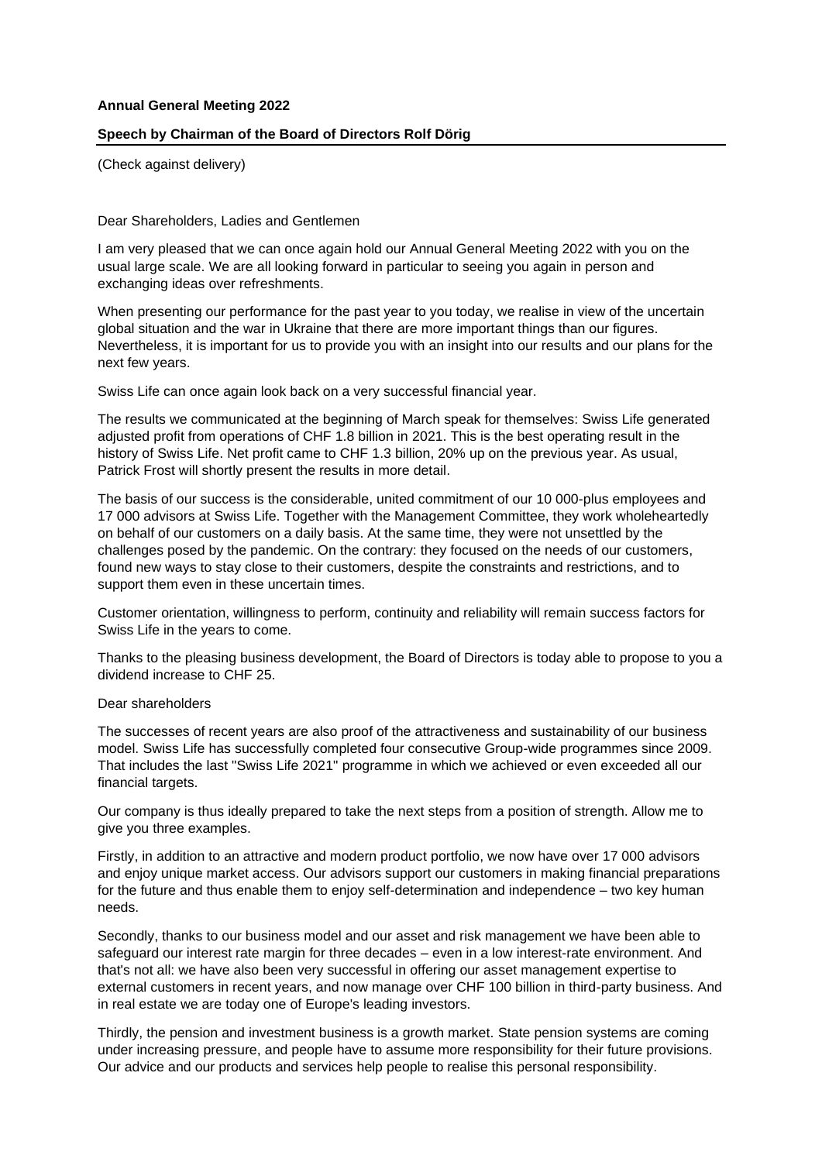## **Annual General Meeting 2022**

## **Speech by Chairman of the Board of Directors Rolf Dörig**

(Check against delivery)

Dear Shareholders, Ladies and Gentlemen

I am very pleased that we can once again hold our Annual General Meeting 2022 with you on the usual large scale. We are all looking forward in particular to seeing you again in person and exchanging ideas over refreshments.

When presenting our performance for the past year to you today, we realise in view of the uncertain global situation and the war in Ukraine that there are more important things than our figures. Nevertheless, it is important for us to provide you with an insight into our results and our plans for the next few years.

Swiss Life can once again look back on a very successful financial year.

The results we communicated at the beginning of March speak for themselves: Swiss Life generated adjusted profit from operations of CHF 1.8 billion in 2021. This is the best operating result in the history of Swiss Life. Net profit came to CHF 1.3 billion, 20% up on the previous year. As usual, Patrick Frost will shortly present the results in more detail.

The basis of our success is the considerable, united commitment of our 10 000-plus employees and 17 000 advisors at Swiss Life. Together with the Management Committee, they work wholeheartedly on behalf of our customers on a daily basis. At the same time, they were not unsettled by the challenges posed by the pandemic. On the contrary: they focused on the needs of our customers, found new ways to stay close to their customers, despite the constraints and restrictions, and to support them even in these uncertain times.

Customer orientation, willingness to perform, continuity and reliability will remain success factors for Swiss Life in the years to come.

Thanks to the pleasing business development, the Board of Directors is today able to propose to you a dividend increase to CHF 25.

## Dear shareholders

The successes of recent years are also proof of the attractiveness and sustainability of our business model. Swiss Life has successfully completed four consecutive Group-wide programmes since 2009. That includes the last "Swiss Life 2021" programme in which we achieved or even exceeded all our financial targets.

Our company is thus ideally prepared to take the next steps from a position of strength. Allow me to give you three examples.

Firstly, in addition to an attractive and modern product portfolio, we now have over 17 000 advisors and enjoy unique market access. Our advisors support our customers in making financial preparations for the future and thus enable them to enjoy self-determination and independence – two key human needs.

Secondly, thanks to our business model and our asset and risk management we have been able to safeguard our interest rate margin for three decades – even in a low interest-rate environment. And that's not all: we have also been very successful in offering our asset management expertise to external customers in recent years, and now manage over CHF 100 billion in third-party business. And in real estate we are today one of Europe's leading investors.

Thirdly, the pension and investment business is a growth market. State pension systems are coming under increasing pressure, and people have to assume more responsibility for their future provisions. Our advice and our products and services help people to realise this personal responsibility.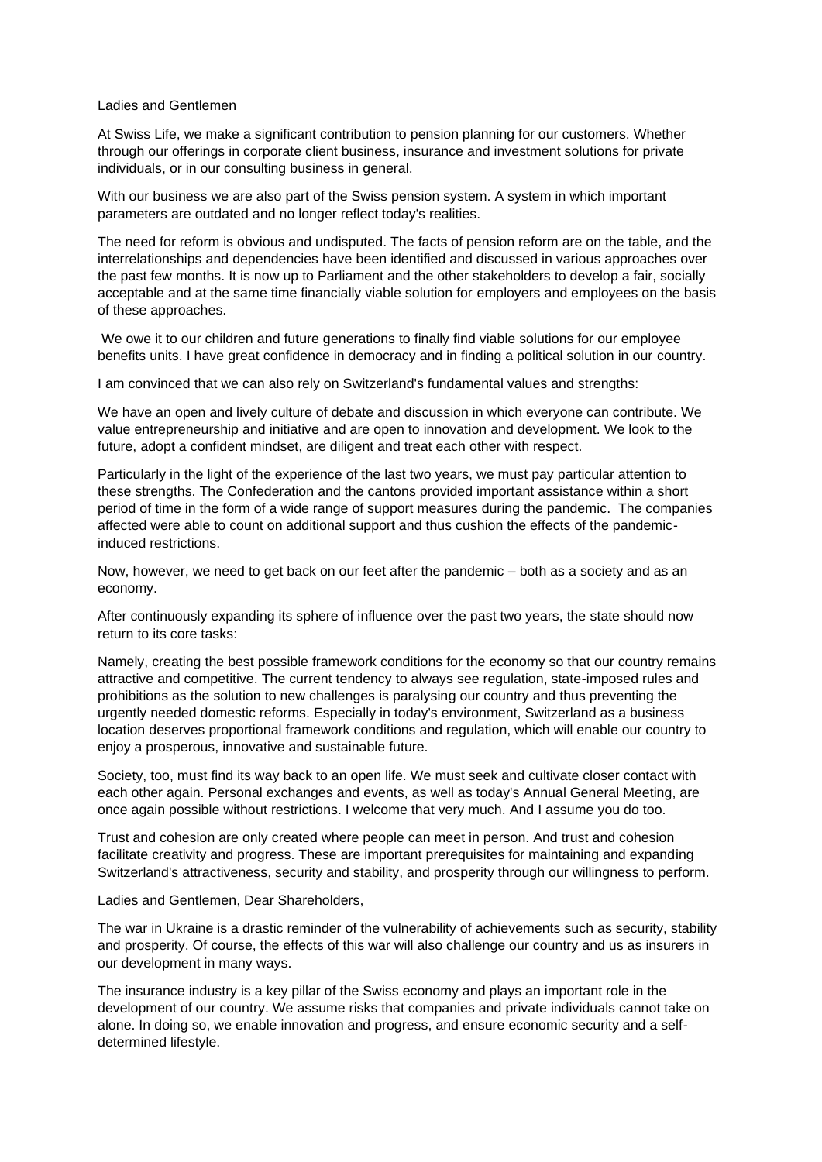## Ladies and Gentlemen

At Swiss Life, we make a significant contribution to pension planning for our customers. Whether through our offerings in corporate client business, insurance and investment solutions for private individuals, or in our consulting business in general.

With our business we are also part of the Swiss pension system. A system in which important parameters are outdated and no longer reflect today's realities.

The need for reform is obvious and undisputed. The facts of pension reform are on the table, and the interrelationships and dependencies have been identified and discussed in various approaches over the past few months. It is now up to Parliament and the other stakeholders to develop a fair, socially acceptable and at the same time financially viable solution for employers and employees on the basis of these approaches.

We owe it to our children and future generations to finally find viable solutions for our employee benefits units. I have great confidence in democracy and in finding a political solution in our country.

I am convinced that we can also rely on Switzerland's fundamental values and strengths:

We have an open and lively culture of debate and discussion in which everyone can contribute. We value entrepreneurship and initiative and are open to innovation and development. We look to the future, adopt a confident mindset, are diligent and treat each other with respect.

Particularly in the light of the experience of the last two years, we must pay particular attention to these strengths. The Confederation and the cantons provided important assistance within a short period of time in the form of a wide range of support measures during the pandemic. The companies affected were able to count on additional support and thus cushion the effects of the pandemicinduced restrictions.

Now, however, we need to get back on our feet after the pandemic – both as a society and as an economy.

After continuously expanding its sphere of influence over the past two years, the state should now return to its core tasks:

Namely, creating the best possible framework conditions for the economy so that our country remains attractive and competitive. The current tendency to always see regulation, state-imposed rules and prohibitions as the solution to new challenges is paralysing our country and thus preventing the urgently needed domestic reforms. Especially in today's environment, Switzerland as a business location deserves proportional framework conditions and regulation, which will enable our country to enjoy a prosperous, innovative and sustainable future.

Society, too, must find its way back to an open life. We must seek and cultivate closer contact with each other again. Personal exchanges and events, as well as today's Annual General Meeting, are once again possible without restrictions. I welcome that very much. And I assume you do too.

Trust and cohesion are only created where people can meet in person. And trust and cohesion facilitate creativity and progress. These are important prerequisites for maintaining and expanding Switzerland's attractiveness, security and stability, and prosperity through our willingness to perform.

Ladies and Gentlemen, Dear Shareholders,

The war in Ukraine is a drastic reminder of the vulnerability of achievements such as security, stability and prosperity. Of course, the effects of this war will also challenge our country and us as insurers in our development in many ways.

The insurance industry is a key pillar of the Swiss economy and plays an important role in the development of our country. We assume risks that companies and private individuals cannot take on alone. In doing so, we enable innovation and progress, and ensure economic security and a selfdetermined lifestyle.